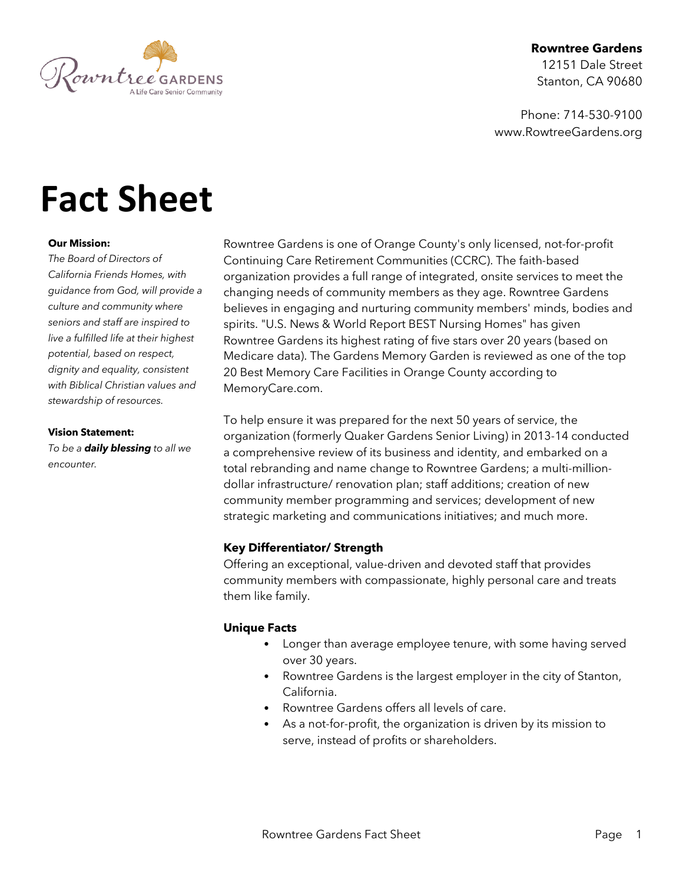

# **Rowntree Gardens**

12151 Dale Street Stanton, CA 90680

Phone: 714-530-9100 www.RowtreeGardens.org

# **Fact Sheet**

## **Our Mission:**

*The Board of Directors of California Friends Homes, with guidance from God, will provide a culture and community where seniors and staff are inspired to live a fulfilled life at their highest potential, based on respect, dignity and equality, consistent with Biblical Christian values and stewardship of resources.*

#### **Vision Statement:**

*To be a daily blessing to all we encounter.*

Rowntree Gardens is one of Orange County's only licensed, not-for-profit Continuing Care Retirement Communities (CCRC). The faith-based organization provides a full range of integrated, onsite services to meet the changing needs of community members as they age. Rowntree Gardens believes in engaging and nurturing community members' minds, bodies and spirits. "U.S. News & World Report BEST Nursing Homes" has given Rowntree Gardens its highest rating of five stars over 20 years (based on Medicare data). The Gardens Memory Garden is reviewed as one of the top 20 Best Memory Care Facilities in Orange County according to MemoryCare.com.

To help ensure it was prepared for the next 50 years of service, the organization (formerly Quaker Gardens Senior Living) in 2013-14 conducted a comprehensive review of its business and identity, and embarked on a total rebranding and name change to Rowntree Gardens; a multi-milliondollar infrastructure/ renovation plan; staff additions; creation of new community member programming and services; development of new strategic marketing and communications initiatives; and much more.

## **Key Differentiator/ Strength**

Offering an exceptional, value-driven and devoted staff that provides community members with compassionate, highly personal care and treats them like family.

## **Unique Facts**

- Longer than average employee tenure, with some having served over 30 years.
- Rowntree Gardens is the largest employer in the city of Stanton, California.
- Rowntree Gardens offers all levels of care.
- As a not-for-profit, the organization is driven by its mission to serve, instead of profits or shareholders.